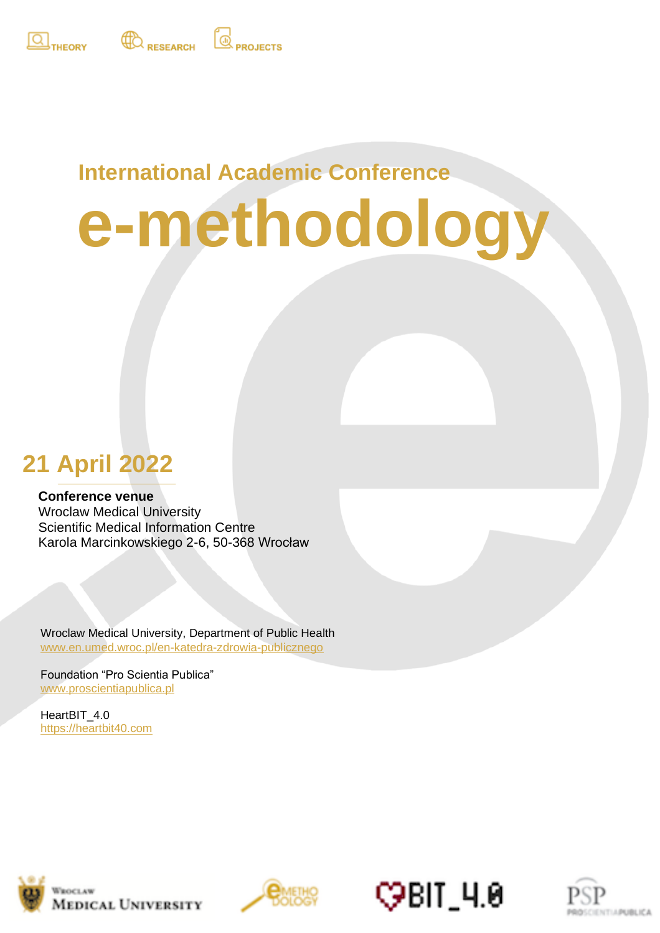



## **International Academic Conference**

**PROJECTS** 

# **e-methodology**

# **21 April 2022**

#### **Conference venue**

**24 April 2020**<br> **24 April 2020** Scientific Medical Information Centre Wroclaw Medical University Karola Marcinkowskiego 2-6, 50-368 Wrocław

Wroclaw Medical University, Department of Public Health [www.en.umed.wroc.pl/en-katedra-zdrowia-publicznego](http://www.en.umed.wroc.pl/en-katedra-zdrowia-publicznego)

Foundation "Pro Scientia Publica" [www.proscientiapublica.pl](http://www.proscientiapublica.pl/)

HeartBIT\_4.0 [https://heartbit40.com](https://heartbit40.com/)







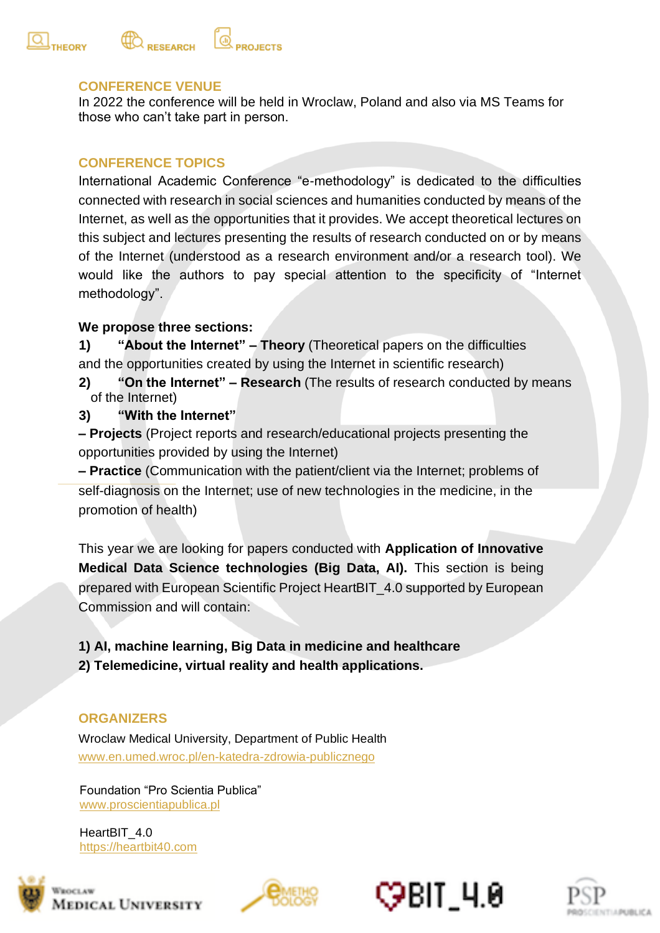

#### **CONFERENCE VENUE**

In 2022 the conference will be held in Wroclaw, Poland and also via MS Teams for those who can't take part in person.

#### **CONFERENCE TOPICS**

International Academic Conference "e-methodology" is dedicated to the difficulties connected with research in social sciences and humanities conducted by means of the Internet, as well as the opportunities that it provides. We accept theoretical lectures on this subject and lectures presenting the results of research conducted on or by means of the Internet (understood as a research environment and/or a research tool). We would like the authors to pay special attention to the specificity of "Internet methodology".

#### **We propose three sections:**

**1) "About the Internet" – Theory** (Theoretical papers on the difficulties and the opportunities created by using the Internet in scientific research)

- **2) "On the Internet" – Research** (The results of research conducted by means of the Internet)
- **3) "With the Internet"**
- **– Projects** (Project reports and research/educational projects presenting the opportunities provided by using the Internet)

**– Practice** (Communication with the patient/client via the Internet; problems of self-diagnosis on the Internet; use of new technologies in the medicine, in the promotion of health)

This year we are looking for papers conducted with **Application of Innovative Medical Data Science technologies (Big Data, AI).** This section is being prepared with European Scientific Project HeartBIT\_4.0 supported by European Commission and will contain:

**1) AI, machine learning, Big Data in medicine and healthcare 2) Telemedicine, virtual reality and health applications.** 

#### **ORGANIZERS**

Wroclaw Medical University, Department of Public Health [www.en.umed.wroc.pl/en-katedra-zdrowia-publicznego](http://www.en.umed.wroc.pl/en-katedra-zdrowia-publicznego)

Foundation "Pro Scientia Publica" [www.proscientiapublica.pl](http://www.proscientiapublica.pl/)

HeartBIT 4.0 [https://heartbit40.com](https://heartbit40.com/)







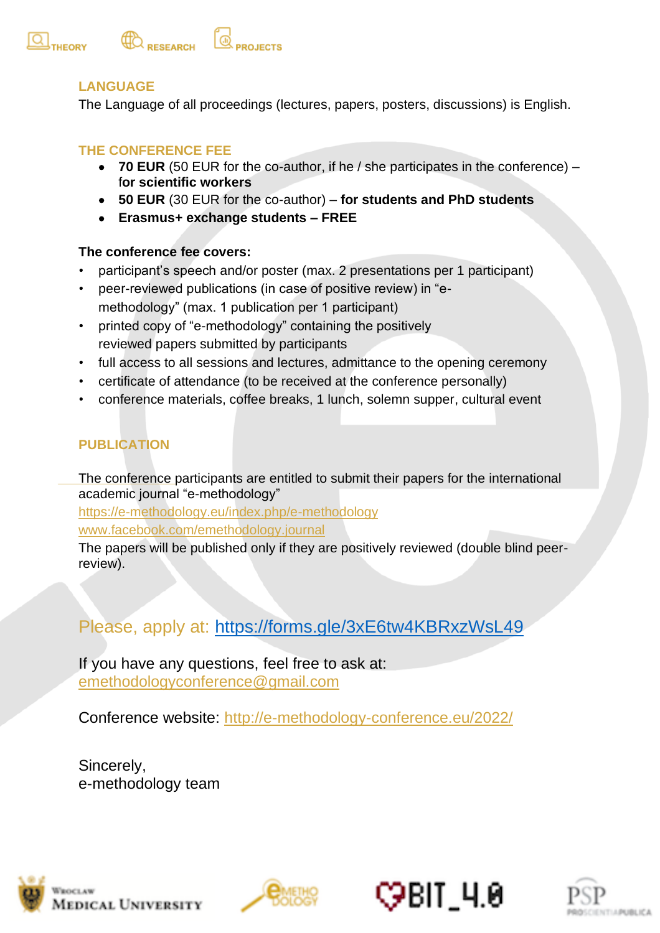

#### **LANGUAGE**

The Language of all proceedings (lectures, papers, posters, discussions) is English.

#### **THE CONFERENCE FEE**

- **70 EUR** (50 EUR for the co-author, if he / she participates in the conference) f**or scientific workers**
- **50 EUR** (30 EUR for the co-author) **for students and PhD students**
- **Erasmus+ exchange students – FREE**

#### **The conference fee covers:**

- participant's speech and/or poster (max. 2 presentations per 1 participant)
- peer-reviewed publications (in case of positive review) in "emethodology" (max. 1 publication per 1 participant)
- printed copy of "e-methodology" containing the positively reviewed papers submitted by participants
- full access to all sessions and lectures, admittance to the opening ceremony
- certificate of attendance (to be received at the conference personally)
- conference materials, coffee breaks, 1 lunch, solemn supper, cultural event

#### **PUBLICATION**

The conference participants are entitled to submit their papers for the international academic journal "e-methodology"

https://e-methodology.eu/index.php/e-methodology

[www.facebook.com/emethodology.journal](http://www.facebook.com/emethodology.journal)

The papers will be published only if they are positively reviewed (double blind peerreview).

### Please, apply at:<https://forms.gle/3xE6tw4KBRxzWsL49>

If you have any questions, feel free to ask at: [emethodologyconference@gmail.com](mailto:emethodologyconference@gmail.com)

Conference website: <http://e-methodology-conference.eu/2022/>

Sincerely, e-methodology team